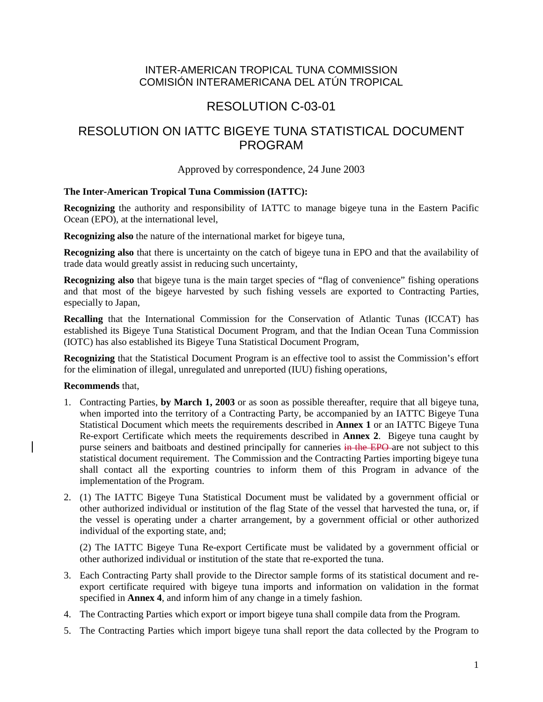## INTER-AMERICAN TROPICAL TUNA COMMISSION COMISIÓN INTERAMERICANA DEL ATÚN TROPICAL

# RESOLUTION C-03-01

# RESOLUTION ON IATTC BIGEYE TUNA STATISTICAL DOCUMENT PROGRAM

#### Approved by correspondence, 24 June 2003

#### **The Inter-American Tropical Tuna Commission (IATTC):**

**Recognizing** the authority and responsibility of IATTC to manage bigeye tuna in the Eastern Pacific Ocean (EPO), at the international level,

**Recognizing also** the nature of the international market for bigeye tuna,

**Recognizing also** that there is uncertainty on the catch of bigeye tuna in EPO and that the availability of trade data would greatly assist in reducing such uncertainty,

**Recognizing also** that bigeye tuna is the main target species of "flag of convenience" fishing operations and that most of the bigeye harvested by such fishing vessels are exported to Contracting Parties, especially to Japan,

**Recalling** that the International Commission for the Conservation of Atlantic Tunas (ICCAT) has established its Bigeye Tuna Statistical Document Program, and that the Indian Ocean Tuna Commission (IOTC) has also established its Bigeye Tuna Statistical Document Program,

**Recognizing** that the Statistical Document Program is an effective tool to assist the Commission's effort for the elimination of illegal, unregulated and unreported (IUU) fishing operations,

#### **Recommends** that,

- 1. Contracting Parties, **by March 1, 2003** or as soon as possible thereafter, require that all bigeye tuna, when imported into the territory of a Contracting Party, be accompanied by an IATTC Bigeye Tuna Statistical Document which meets the requirements described in **Annex 1** or an IATTC Bigeye Tuna Re-export Certificate which meets the requirements described in **Annex 2**. Bigeye tuna caught by purse seiners and baitboats and destined principally for canneries in the EPO are not subject to this statistical document requirement. The Commission and the Contracting Parties importing bigeye tuna shall contact all the exporting countries to inform them of this Program in advance of the implementation of the Program.
- 2. (1) The IATTC Bigeye Tuna Statistical Document must be validated by a government official or other authorized individual or institution of the flag State of the vessel that harvested the tuna, or, if the vessel is operating under a charter arrangement, by a government official or other authorized individual of the exporting state, and;

(2) The IATTC Bigeye Tuna Re-export Certificate must be validated by a government official or other authorized individual or institution of the state that re-exported the tuna.

- 3. Each Contracting Party shall provide to the Director sample forms of its statistical document and reexport certificate required with bigeye tuna imports and information on validation in the format specified in **Annex 4**, and inform him of any change in a timely fashion.
- 4. The Contracting Parties which export or import bigeye tuna shall compile data from the Program.
- 5. The Contracting Parties which import bigeye tuna shall report the data collected by the Program to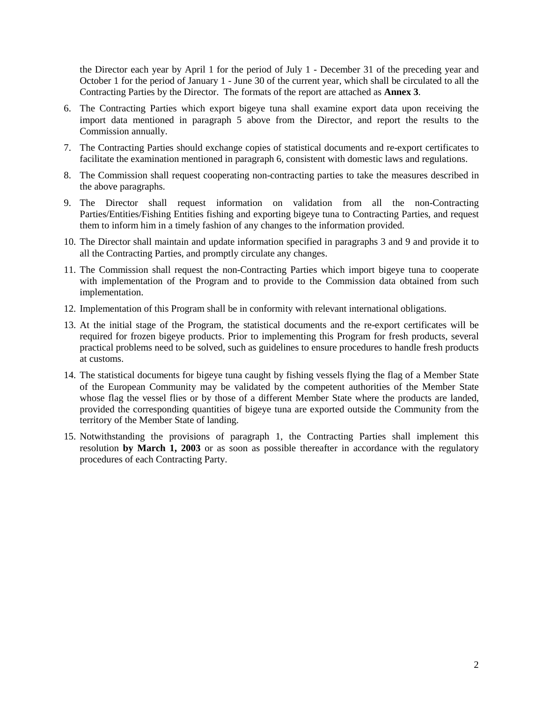the Director each year by April 1 for the period of July 1 - December 31 of the preceding year and October 1 for the period of January 1 - June 30 of the current year, which shall be circulated to all the Contracting Parties by the Director. The formats of the report are attached as **Annex 3**.

- 6. The Contracting Parties which export bigeye tuna shall examine export data upon receiving the import data mentioned in paragraph 5 above from the Director, and report the results to the Commission annually.
- 7. The Contracting Parties should exchange copies of statistical documents and re-export certificates to facilitate the examination mentioned in paragraph 6, consistent with domestic laws and regulations.
- 8. The Commission shall request cooperating non-contracting parties to take the measures described in the above paragraphs.
- 9. The Director shall request information on validation from all the non-Contracting Parties/Entities/Fishing Entities fishing and exporting bigeye tuna to Contracting Parties, and request them to inform him in a timely fashion of any changes to the information provided.
- 10. The Director shall maintain and update information specified in paragraphs 3 and 9 and provide it to all the Contracting Parties, and promptly circulate any changes.
- 11. The Commission shall request the non-Contracting Parties which import bigeye tuna to cooperate with implementation of the Program and to provide to the Commission data obtained from such implementation.
- 12. Implementation of this Program shall be in conformity with relevant international obligations.
- 13. At the initial stage of the Program, the statistical documents and the re-export certificates will be required for frozen bigeye products. Prior to implementing this Program for fresh products, several practical problems need to be solved, such as guidelines to ensure procedures to handle fresh products at customs.
- 14. The statistical documents for bigeye tuna caught by fishing vessels flying the flag of a Member State of the European Community may be validated by the competent authorities of the Member State whose flag the vessel flies or by those of a different Member State where the products are landed, provided the corresponding quantities of bigeye tuna are exported outside the Community from the territory of the Member State of landing.
- 15. Notwithstanding the provisions of paragraph 1, the Contracting Parties shall implement this resolution **by March 1, 2003** or as soon as possible thereafter in accordance with the regulatory procedures of each Contracting Party.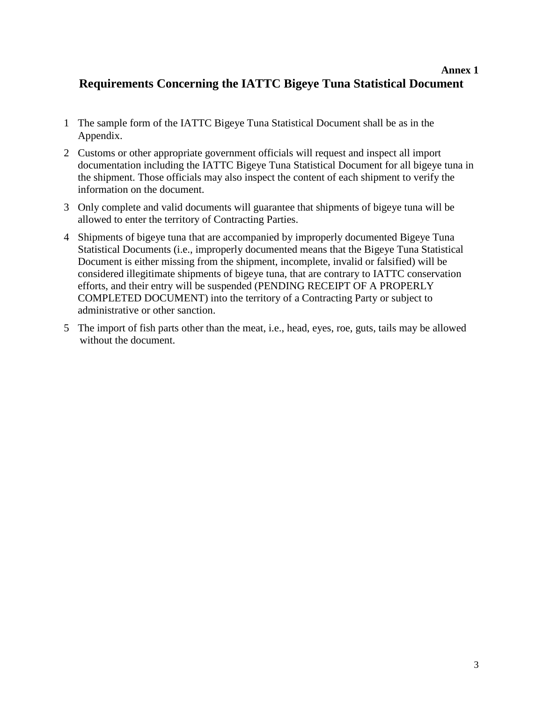# **Annex 1 Requirements Concerning the IATTC Bigeye Tuna Statistical Document**

- 1 The sample form of the IATTC Bigeye Tuna Statistical Document shall be as in the Appendix.
- 2 Customs or other appropriate government officials will request and inspect all import documentation including the IATTC Bigeye Tuna Statistical Document for all bigeye tuna in the shipment. Those officials may also inspect the content of each shipment to verify the information on the document.
- 3 Only complete and valid documents will guarantee that shipments of bigeye tuna will be allowed to enter the territory of Contracting Parties.
- 4 Shipments of bigeye tuna that are accompanied by improperly documented Bigeye Tuna Statistical Documents (i.e., improperly documented means that the Bigeye Tuna Statistical Document is either missing from the shipment, incomplete, invalid or falsified) will be considered illegitimate shipments of bigeye tuna, that are contrary to IATTC conservation efforts, and their entry will be suspended (PENDING RECEIPT OF A PROPERLY COMPLETED DOCUMENT) into the territory of a Contracting Party or subject to administrative or other sanction.
- 5 The import of fish parts other than the meat, i.e., head, eyes, roe, guts, tails may be allowed without the document.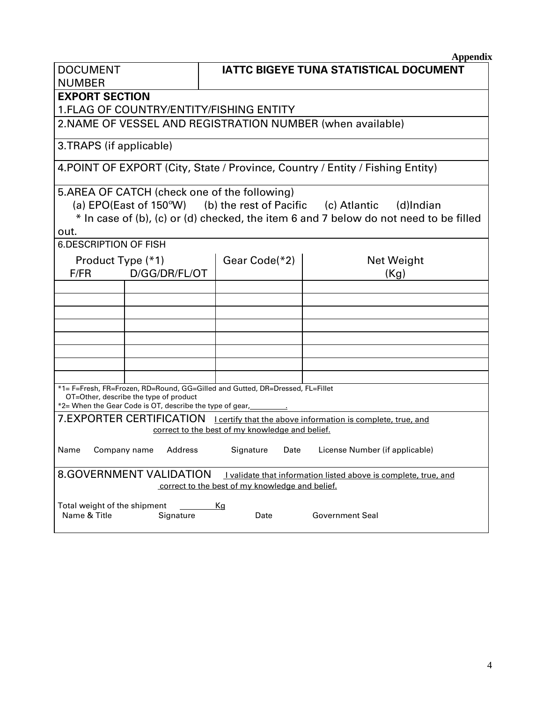| Appendix |
|----------|
|          |

| <b>DOCUMENT</b>                                                                                                                                                                                                                  | <b>IATTC BIGEYE TUNA STATISTICAL DOCUMENT</b>                                  |  |  |  |
|----------------------------------------------------------------------------------------------------------------------------------------------------------------------------------------------------------------------------------|--------------------------------------------------------------------------------|--|--|--|
| <b>NUMBER</b>                                                                                                                                                                                                                    |                                                                                |  |  |  |
| <b>EXPORT SECTION</b>                                                                                                                                                                                                            |                                                                                |  |  |  |
| <b>1. FLAG OF COUNTRY/ENTITY/FISHING ENTITY</b>                                                                                                                                                                                  |                                                                                |  |  |  |
|                                                                                                                                                                                                                                  | 2. NAME OF VESSEL AND REGISTRATION NUMBER (when available)                     |  |  |  |
| 3.TRAPS (if applicable)                                                                                                                                                                                                          |                                                                                |  |  |  |
|                                                                                                                                                                                                                                  | 4. POINT OF EXPORT (City, State / Province, Country / Entity / Fishing Entity) |  |  |  |
| 5.AREA OF CATCH (check one of the following)<br>(a) EPO(East of 150 $\degree$ W) (b) the rest of Pacific (c) Atlantic (d)Indian<br>* In case of (b), (c) or (d) checked, the item 6 and 7 below do not need to be filled<br>out. |                                                                                |  |  |  |
| <b>6.DESCRIPTION OF FISH</b>                                                                                                                                                                                                     |                                                                                |  |  |  |
| Product Type (*1)<br>Gear Code(*2)<br>Net Weight<br>D/GG/DR/FL/OT<br>F/FR<br>(Kg)                                                                                                                                                |                                                                                |  |  |  |
|                                                                                                                                                                                                                                  |                                                                                |  |  |  |
|                                                                                                                                                                                                                                  |                                                                                |  |  |  |
|                                                                                                                                                                                                                                  |                                                                                |  |  |  |
|                                                                                                                                                                                                                                  |                                                                                |  |  |  |
|                                                                                                                                                                                                                                  |                                                                                |  |  |  |
|                                                                                                                                                                                                                                  |                                                                                |  |  |  |
|                                                                                                                                                                                                                                  |                                                                                |  |  |  |
| *1= F=Fresh, FR=Frozen, RD=Round, GG=Gilled and Gutted, DR=Dressed, FL=Fillet<br>OT=Other, describe the type of product<br>*2= When the Gear Code is OT, describe the type of gear,                                              |                                                                                |  |  |  |
| 7.EXPORTER CERTIFICATION Leertify that the above information is complete, true, and<br>correct to the best of my knowledge and belief.                                                                                           |                                                                                |  |  |  |
| Signature<br>License Number (if applicable)<br>Name<br>Company name<br>Address<br>Date                                                                                                                                           |                                                                                |  |  |  |
| <b>8.GOVERNMENT VALIDATION</b><br>I validate that information listed above is complete, true, and<br>correct to the best of my knowledge and belief.                                                                             |                                                                                |  |  |  |
| Total weight of the shipment<br>Name & Title<br>Signature                                                                                                                                                                        | <u>Kg</u><br><b>Government Seal</b><br>Date                                    |  |  |  |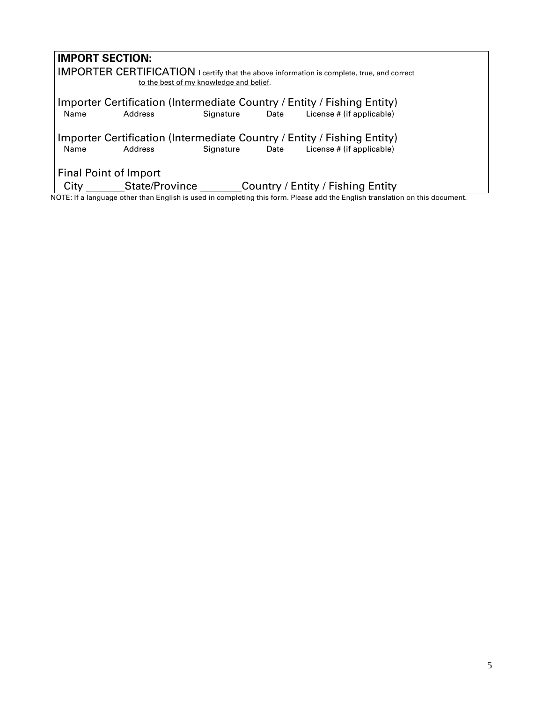| <b>IMPORT SECTION:</b> |                |                                         |      |                                                                                                                                                                                                                                               |  |
|------------------------|----------------|-----------------------------------------|------|-----------------------------------------------------------------------------------------------------------------------------------------------------------------------------------------------------------------------------------------------|--|
|                        |                |                                         |      | <b>IMPORTER CERTIFICATION</b> Leertify that the above information is complete, true, and correct                                                                                                                                              |  |
|                        |                |                                         |      |                                                                                                                                                                                                                                               |  |
|                        |                | to the best of my knowledge and belief. |      |                                                                                                                                                                                                                                               |  |
|                        |                |                                         |      |                                                                                                                                                                                                                                               |  |
|                        |                |                                         |      | Importer Certification (Intermediate Country / Entity / Fishing Entity)                                                                                                                                                                       |  |
| Name                   | Address        | Signature                               | Date | License # (if applicable)                                                                                                                                                                                                                     |  |
|                        |                |                                         |      |                                                                                                                                                                                                                                               |  |
|                        |                |                                         |      |                                                                                                                                                                                                                                               |  |
|                        |                |                                         |      | Importer Certification (Intermediate Country / Entity / Fishing Entity)                                                                                                                                                                       |  |
| Name                   | Address        | Signature                               | Date | License # (if applicable)                                                                                                                                                                                                                     |  |
|                        |                |                                         |      |                                                                                                                                                                                                                                               |  |
|                        |                |                                         |      |                                                                                                                                                                                                                                               |  |
| Final Point of Import  |                |                                         |      |                                                                                                                                                                                                                                               |  |
|                        |                |                                         |      |                                                                                                                                                                                                                                               |  |
| City                   | State/Province |                                         |      | Country / Entity / Fishing Entity                                                                                                                                                                                                             |  |
| .                      | .              | $\cdot$ .                               |      | $\cdots$<br>$\mathbf{r}$ , and the contract of the contract of the contract of the contract of the contract of the contract of the contract of the contract of the contract of the contract of the contract of the contract of the contract o |  |

NOTE: If a language other than English is used in completing this form. Please add the English translation on this document.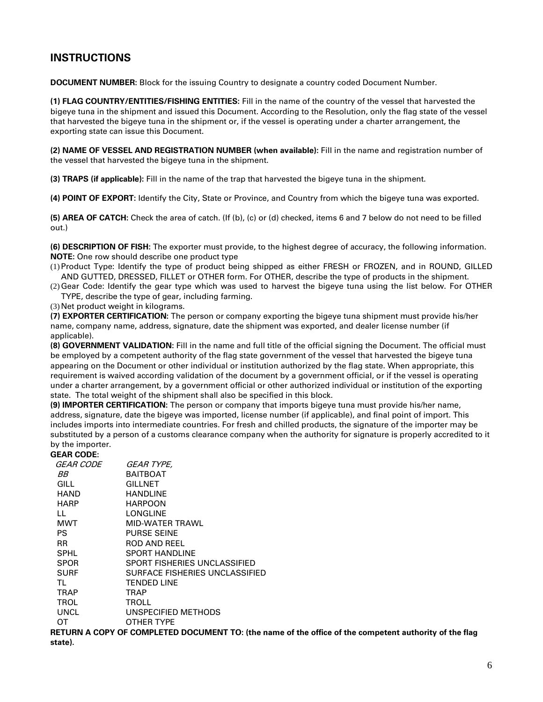# **INSTRUCTIONS**

**DOCUMENT NUMBER:** Block for the issuing Country to designate a country coded Document Number.

**(1) FLAG COUNTRY/ENTITIES/FISHING ENTITIES:** Fill in the name of the country of the vessel that harvested the bigeye tuna in the shipment and issued this Document. According to the Resolution, only the flag state of the vessel that harvested the bigeye tuna in the shipment or, if the vessel is operating under a charter arrangement, the exporting state can issue this Document.

**(2) NAME OF VESSEL AND REGISTRATION NUMBER (when available):** Fill in the name and registration number of the vessel that harvested the bigeye tuna in the shipment.

**(3) TRAPS (if applicable):** Fill in the name of the trap that harvested the bigeye tuna in the shipment.

**(4) POINT OF EXPORT:** Identify the City, State or Province, and Country from which the bigeye tuna was exported.

**(5) AREA OF CATCH:** Check the area of catch. (If (b), (c) or (d) checked, items 6 and 7 below do not need to be filled out.)

**(6) DESCRIPTION OF FISH:** The exporter must provide, to the highest degree of accuracy, the following information. **NOTE:** One row should describe one product type

- (1) Product Type: Identify the type of product being shipped as either FRESH or FROZEN, and in ROUND, GILLED AND GUTTED, DRESSED, FILLET or OTHER form. For OTHER, describe the type of products in the shipment.
- (2) Gear Code: Identify the gear type which was used to harvest the bigeye tuna using the list below. For OTHER TYPE, describe the type of gear, including farming.
- (3) Net product weight in kilograms.

**(7) EXPORTER CERTIFICATION:** The person or company exporting the bigeye tuna shipment must provide his/her name, company name, address, signature, date the shipment was exported, and dealer license number (if applicable).

**(8) GOVERNMENT VALIDATION:** Fill in the name and full title of the official signing the Document. The official must be employed by a competent authority of the flag state government of the vessel that harvested the bigeye tuna appearing on the Document or other individual or institution authorized by the flag state. When appropriate, this requirement is waived according validation of the document by a government official, or if the vessel is operating under a charter arrangement, by a government official or other authorized individual or institution of the exporting state. The total weight of the shipment shall also be specified in this block.

**(9) IMPORTER CERTIFICATION:** The person or company that imports bigeye tuna must provide his/her name, address, signature, date the bigeye was imported, license number (if applicable), and final point of import. This includes imports into intermediate countries. For fresh and chilled products, the signature of the importer may be substituted by a person of a customs clearance company when the authority for signature is properly accredited to it by the importer.

#### **GEAR CODE:**

| GEAR CODE   | <i>GEAR TYPE.</i>              |
|-------------|--------------------------------|
| ВB          | <b>BAITBOAT</b>                |
| GILL        | GILLNET                        |
| HAND        | <b>HANDLINE</b>                |
| HARP        | HARPOON                        |
| LL          | LONGLINE                       |
| MWT         | MID-WATER TRAWL                |
| PS          | <b>PURSE SEINE</b>             |
| <b>RR</b>   | ROD AND REEL                   |
| SPHL        | <b>SPORT HANDLINE</b>          |
| <b>SPOR</b> | SPORT FISHERIES UNCLASSIFIED   |
| SURF        | SURFACE FISHERIES UNCLASSIFIED |
| TL          | <b>TENDED LINE</b>             |
| <b>TRAP</b> | <b>TRAP</b>                    |
| <b>TROL</b> | TROLL                          |
| UNCL        | UNSPECIFIED METHODS            |
| от          | OTHER TYPE                     |

**RETURN A COPY OF COMPLETED DOCUMENT TO: (the name of the office of the competent authority of the flag state).**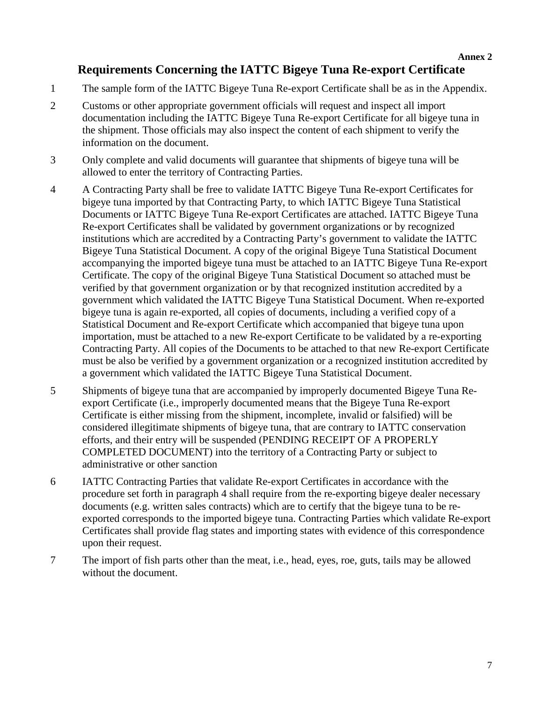**Annex 2**

# **Requirements Concerning the IATTC Bigeye Tuna Re-export Certificate**

- 1 The sample form of the IATTC Bigeye Tuna Re-export Certificate shall be as in the Appendix.
- 2 Customs or other appropriate government officials will request and inspect all import documentation including the IATTC Bigeye Tuna Re-export Certificate for all bigeye tuna in the shipment. Those officials may also inspect the content of each shipment to verify the information on the document.
- 3 Only complete and valid documents will guarantee that shipments of bigeye tuna will be allowed to enter the territory of Contracting Parties.
- 4 A Contracting Party shall be free to validate IATTC Bigeye Tuna Re-export Certificates for bigeye tuna imported by that Contracting Party, to which IATTC Bigeye Tuna Statistical Documents or IATTC Bigeye Tuna Re-export Certificates are attached. IATTC Bigeye Tuna Re-export Certificates shall be validated by government organizations or by recognized institutions which are accredited by a Contracting Party's government to validate the IATTC Bigeye Tuna Statistical Document. A copy of the original Bigeye Tuna Statistical Document accompanying the imported bigeye tuna must be attached to an IATTC Bigeye Tuna Re-export Certificate. The copy of the original Bigeye Tuna Statistical Document so attached must be verified by that government organization or by that recognized institution accredited by a government which validated the IATTC Bigeye Tuna Statistical Document. When re-exported bigeye tuna is again re-exported, all copies of documents, including a verified copy of a Statistical Document and Re-export Certificate which accompanied that bigeye tuna upon importation, must be attached to a new Re-export Certificate to be validated by a re-exporting Contracting Party. All copies of the Documents to be attached to that new Re-export Certificate must be also be verified by a government organization or a recognized institution accredited by a government which validated the IATTC Bigeye Tuna Statistical Document.
- 5 Shipments of bigeye tuna that are accompanied by improperly documented Bigeye Tuna Reexport Certificate (i.e., improperly documented means that the Bigeye Tuna Re-export Certificate is either missing from the shipment, incomplete, invalid or falsified) will be considered illegitimate shipments of bigeye tuna, that are contrary to IATTC conservation efforts, and their entry will be suspended (PENDING RECEIPT OF A PROPERLY COMPLETED DOCUMENT) into the territory of a Contracting Party or subject to administrative or other sanction
- 6 IATTC Contracting Parties that validate Re-export Certificates in accordance with the procedure set forth in paragraph 4 shall require from the re-exporting bigeye dealer necessary documents (e.g. written sales contracts) which are to certify that the bigeye tuna to be reexported corresponds to the imported bigeye tuna. Contracting Parties which validate Re-export Certificates shall provide flag states and importing states with evidence of this correspondence upon their request.
- 7 The import of fish parts other than the meat, i.e., head, eyes, roe, guts, tails may be allowed without the document.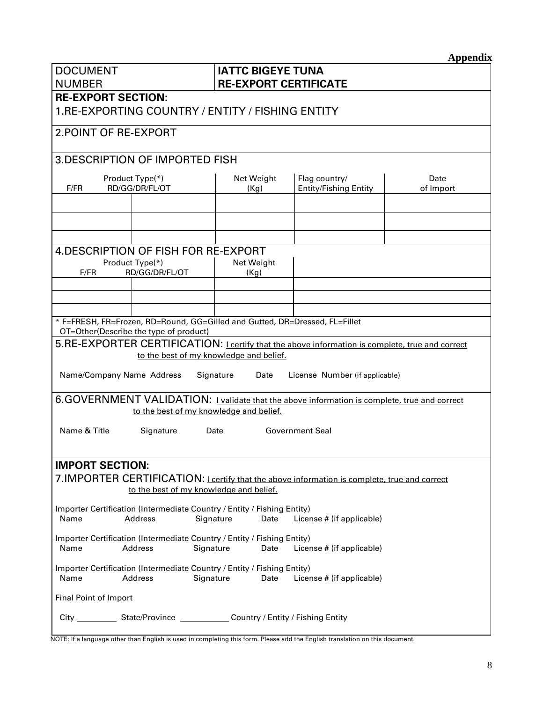**Appendix**

| <b>DOCUMENT</b><br><b>NUMBER</b>                                                                                                             | <b>IATTC BIGEYE TUNA</b><br><b>RE-EXPORT CERTIFICATE</b> |                                               |                   |  |  |
|----------------------------------------------------------------------------------------------------------------------------------------------|----------------------------------------------------------|-----------------------------------------------|-------------------|--|--|
| <b>RE-EXPORT SECTION:</b><br>1.RE-EXPORTING COUNTRY / ENTITY / FISHING ENTITY                                                                |                                                          |                                               |                   |  |  |
| 2. POINT OF RE-EXPORT                                                                                                                        |                                                          |                                               |                   |  |  |
| 3. DESCRIPTION OF IMPORTED FISH                                                                                                              |                                                          |                                               |                   |  |  |
| Product Type(*)<br>F/FR<br>RD/GG/DR/FL/OT                                                                                                    | Net Weight<br>(Kg)                                       | Flag country/<br><b>Entity/Fishing Entity</b> | Date<br>of Import |  |  |
|                                                                                                                                              |                                                          |                                               |                   |  |  |
|                                                                                                                                              |                                                          |                                               |                   |  |  |
|                                                                                                                                              |                                                          |                                               |                   |  |  |
| 4. DESCRIPTION OF FISH FOR RE-EXPORT                                                                                                         |                                                          |                                               |                   |  |  |
| Product Type(*)<br>F/FR<br>RD/GG/DR/FL/OT                                                                                                    | Net Weight<br>(Kg)                                       |                                               |                   |  |  |
|                                                                                                                                              |                                                          |                                               |                   |  |  |
|                                                                                                                                              |                                                          |                                               |                   |  |  |
|                                                                                                                                              |                                                          |                                               |                   |  |  |
| * F=FRESH, FR=Frozen, RD=Round, GG=Gilled and Gutted, DR=Dressed, FL=Fillet<br>OT=Other(Describe the type of product)                        |                                                          |                                               |                   |  |  |
| 5.RE-EXPORTER CERTIFICATION: Leertify that the above information is complete, true and correct                                               |                                                          |                                               |                   |  |  |
| to the best of my knowledge and belief.                                                                                                      |                                                          |                                               |                   |  |  |
| Name/Company Name Address                                                                                                                    | Signature<br>Date                                        | License Number (if applicable)                |                   |  |  |
| 6.GOVERNMENT VALIDATION: Lvalidate that the above information is complete, true and correct<br>to the best of my knowledge and belief.       |                                                          |                                               |                   |  |  |
| Name & Title<br><b>Government Seal</b><br>Signature<br>Date                                                                                  |                                                          |                                               |                   |  |  |
| <b>IMPORT SECTION:</b>                                                                                                                       |                                                          |                                               |                   |  |  |
| 7. IMPORTER CERTIFICATION: I certify that the above information is complete, true and correct<br>to the best of my knowledge and belief.     |                                                          |                                               |                   |  |  |
| Importer Certification (Intermediate Country / Entity / Fishing Entity)<br>Name<br>Signature<br>License # (if applicable)<br>Address<br>Date |                                                          |                                               |                   |  |  |
| Importer Certification (Intermediate Country / Entity / Fishing Entity)<br>Name<br>Address                                                   | Signature<br>Date                                        | License # (if applicable)                     |                   |  |  |
| Importer Certification (Intermediate Country / Entity / Fishing Entity)<br>Signature<br>License # (if applicable)<br>Name<br>Address<br>Date |                                                          |                                               |                   |  |  |
| Final Point of Import                                                                                                                        |                                                          |                                               |                   |  |  |
| City ______________ State/Province ________________ Country / Entity / Fishing Entity                                                        |                                                          |                                               |                   |  |  |

NOTE: If a language other than English is used in completing this form. Please add the English translation on this document.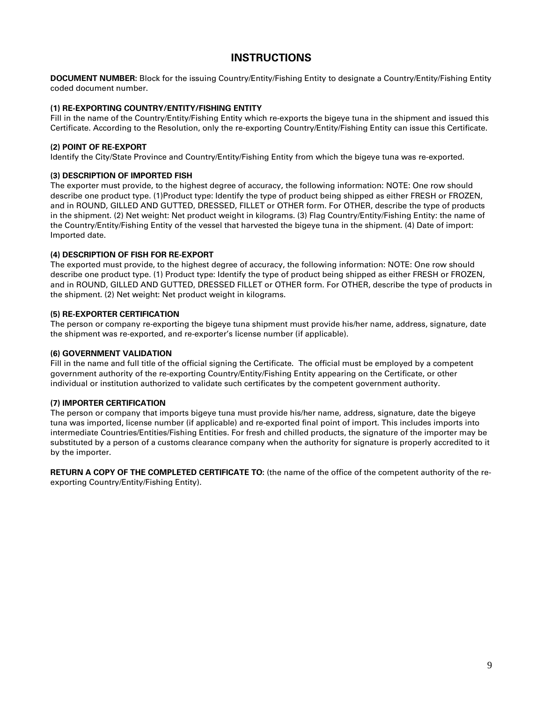# **INSTRUCTIONS**

**DOCUMENT NUMBER:** Block for the issuing Country/Entity/Fishing Entity to designate a Country/Entity/Fishing Entity coded document number.

#### **(1) RE-EXPORTING COUNTRY/ENTITY/FISHING ENTITY**

Fill in the name of the Country/Entity/Fishing Entity which re-exports the bigeye tuna in the shipment and issued this Certificate. According to the Resolution, only the re-exporting Country/Entity/Fishing Entity can issue this Certificate.

#### **(2) POINT OF RE-EXPORT**

Identify the City/State Province and Country/Entity/Fishing Entity from which the bigeye tuna was re-exported.

#### **(3) DESCRIPTION OF IMPORTED FISH**

The exporter must provide, to the highest degree of accuracy, the following information: NOTE: One row should describe one product type. (1)Product type: Identify the type of product being shipped as either FRESH or FROZEN, and in ROUND, GILLED AND GUTTED, DRESSED, FILLET or OTHER form. For OTHER, describe the type of products in the shipment. (2) Net weight: Net product weight in kilograms. (3) Flag Country/Entity/Fishing Entity: the name of the Country/Entity/Fishing Entity of the vessel that harvested the bigeye tuna in the shipment. (4) Date of import: Imported date.

#### **(4) DESCRIPTION OF FISH FOR RE-EXPORT**

The exported must provide, to the highest degree of accuracy, the following information: NOTE: One row should describe one product type. (1) Product type: Identify the type of product being shipped as either FRESH or FROZEN, and in ROUND, GILLED AND GUTTED, DRESSED FILLET or OTHER form. For OTHER, describe the type of products in the shipment. (2) Net weight: Net product weight in kilograms.

#### **(5) RE-EXPORTER CERTIFICATION**

The person or company re-exporting the bigeye tuna shipment must provide his/her name, address, signature, date the shipment was re-exported, and re-exporter's license number (if applicable).

#### **(6) GOVERNMENT VALIDATION**

Fill in the name and full title of the official signing the Certificate. The official must be employed by a competent government authority of the re-exporting Country/Entity/Fishing Entity appearing on the Certificate, or other individual or institution authorized to validate such certificates by the competent government authority.

#### **(7) IMPORTER CERTIFICATION**

The person or company that imports bigeye tuna must provide his/her name, address, signature, date the bigeye tuna was imported, license number (if applicable) and re-exported final point of import. This includes imports into intermediate Countries/Entities/Fishing Entities. For fresh and chilled products, the signature of the importer may be substituted by a person of a customs clearance company when the authority for signature is properly accredited to it by the importer.

**RETURN A COPY OF THE COMPLETED CERTIFICATE TO:** (the name of the office of the competent authority of the reexporting Country/Entity/Fishing Entity).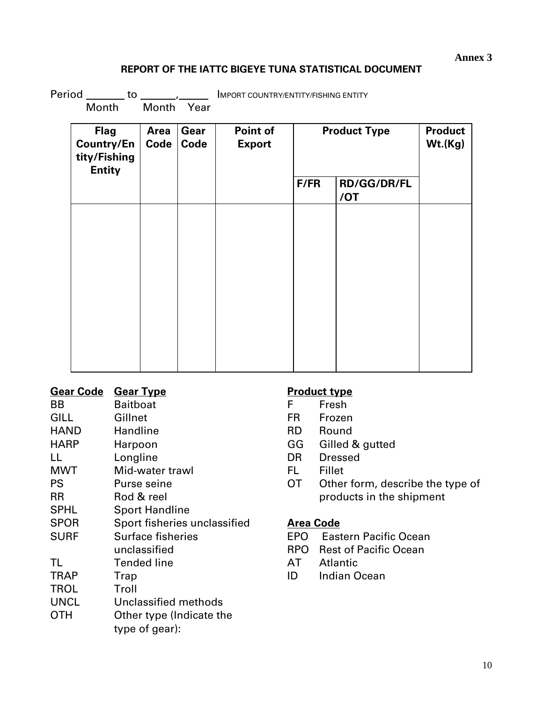## **Annex 3**

# **REPORT OF THE IATTC BIGEYE TUNA STATISTICAL DOCUMENT**

Period  $\frac{1}{\sqrt{1-\frac{1}{\sqrt{1-\frac{1}{\sqrt{1-\frac{1}{\sqrt{1-\frac{1}{\sqrt{1-\frac{1}{\sqrt{1-\frac{1}{\sqrt{1-\frac{1}{\sqrt{1-\frac{1}{\sqrt{1-\frac{1}{\sqrt{1-\frac{1}{\sqrt{1-\frac{1}{\sqrt{1-\frac{1}{\sqrt{1-\frac{1}{\sqrt{1-\frac{1}{\sqrt{1-\frac{1}{\sqrt{1-\frac{1}{\sqrt{1-\frac{1}{\sqrt{1-\frac{1}{\sqrt{1-\frac{1}{\sqrt{1-\frac{1}{\sqrt{1-\frac{1}{\sqrt{1-\frac{1}{\sqrt{1-\frac{1}{\sqrt$ 

Month Month Year

|    |  | TIVIF ON L GOOINT INT/EINTIT T/FISHING EIN |  |
|----|--|--------------------------------------------|--|
| ົ້ |  |                                            |  |

| <b>Flag</b><br><b>Country/En</b><br>tity/Fishing<br><b>Entity</b> | <b>Area</b><br>Code | Gear<br>Code | Point of<br><b>Export</b> | <b>Product Type</b> |                           | <b>Product</b><br>Wt.(Kg) |
|-------------------------------------------------------------------|---------------------|--------------|---------------------------|---------------------|---------------------------|---------------------------|
|                                                                   |                     |              |                           | F/FR                | <b>RD/GG/DR/FL</b><br>/OT |                           |
|                                                                   |                     |              |                           |                     |                           |                           |
|                                                                   |                     |              |                           |                     |                           |                           |
|                                                                   |                     |              |                           |                     |                           |                           |
|                                                                   |                     |              |                           |                     |                           |                           |
|                                                                   |                     |              |                           |                     |                           |                           |
|                                                                   |                     |              |                           |                     |                           |                           |

| <u>Gear Code</u> | <b>Gear Type</b>             |
|------------------|------------------------------|
| BB               | Baitboat                     |
| <b>GILL</b>      | Gillnet                      |
| <b>HAND</b>      | Handline                     |
| <b>HARP</b>      | Harpoon                      |
| LL               | Longline                     |
| <b>MWT</b>       | Mid-water trawl              |
| <b>PS</b>        | Purse seine                  |
| <b>RR</b>        | Rod & reel                   |
| <b>SPHL</b>      | <b>Sport Handline</b>        |
| <b>SPOR</b>      | Sport fisheries unclassified |
| <b>SURF</b>      | <b>Surface fisheries</b>     |
|                  | unclassified                 |
| TL               | <b>Tended line</b>           |
| <b>TRAP</b>      | Trap                         |
| <b>TROL</b>      | Troll                        |
| <b>UNCL</b>      | Unclassified methods         |
| отн              | Other type (Indicate the     |
|                  | type of gear):               |

# **Product type**

| F  | .<br>Fresh |
|----|------------|
| FR | Frozen     |

- RD Round
- 
- GG Gilled & gutted
- DR Dressed
- FL Fillet
- OT Other form, describe the type of products in the shipment

# **Area Code**

- EPO Eastern Pacific Ocean
- RPO Rest of Pacific Ocean
- AT Atlantic
- ID Indian Ocean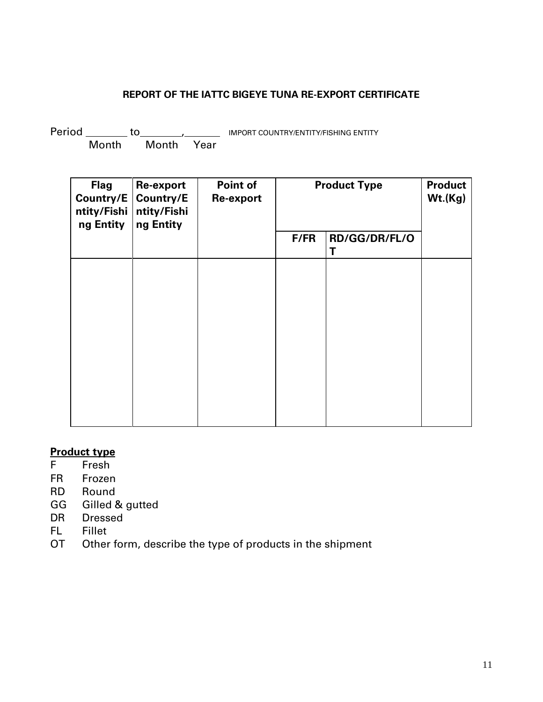# **REPORT OF THE IATTC BIGEYE TUNA RE-EXPORT CERTIFICATE**

Period **to the COUNTRY/ENTITY/FISHING ENTITY** Month Month Year

| <b>Flag</b><br>Country/E<br>ntity/Fishi<br>ng Entity | Re-export<br>Country/E<br>ntity/Fishi<br>ng Entity | Point of<br>Re-export | <b>Product Type</b> |                    | <b>Product</b><br>Wt.(Kg) |
|------------------------------------------------------|----------------------------------------------------|-----------------------|---------------------|--------------------|---------------------------|
|                                                      |                                                    |                       | F/FR                | RD/GG/DR/FL/O<br>T |                           |
|                                                      |                                                    |                       |                     |                    |                           |
|                                                      |                                                    |                       |                     |                    |                           |
|                                                      |                                                    |                       |                     |                    |                           |
|                                                      |                                                    |                       |                     |                    |                           |
|                                                      |                                                    |                       |                     |                    |                           |
|                                                      |                                                    |                       |                     |                    |                           |

# **Product type**<br>F Fresh

- **Fresh**
- FR Frozen
- RD Round
- GG Gilled & gutted
- DR Dressed
- FL Fillet
- OT Other form, describe the type of products in the shipment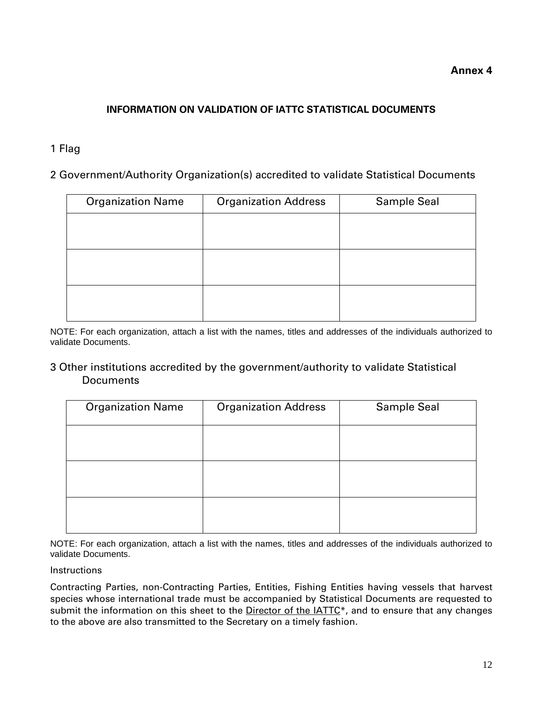## **Annex 4**

# **INFORMATION ON VALIDATION OF IATTC STATISTICAL DOCUMENTS**

# 1 Flag

2 Government/Authority Organization(s) accredited to validate Statistical Documents

| <b>Organization Name</b> | <b>Organization Address</b> | <b>Sample Seal</b> |
|--------------------------|-----------------------------|--------------------|
|                          |                             |                    |
|                          |                             |                    |
|                          |                             |                    |
|                          |                             |                    |
|                          |                             |                    |
|                          |                             |                    |

NOTE: For each organization, attach a list with the names, titles and addresses of the individuals authorized to validate Documents.

## 3 Other institutions accredited by the government/authority to validate Statistical **Documents**

| <b>Organization Name</b> | <b>Organization Address</b> | <b>Sample Seal</b> |
|--------------------------|-----------------------------|--------------------|
|                          |                             |                    |
|                          |                             |                    |
|                          |                             |                    |
|                          |                             |                    |
|                          |                             |                    |
|                          |                             |                    |

NOTE: For each organization, attach a list with the names, titles and addresses of the individuals authorized to validate Documents.

## Instructions

Contracting Parties, non-Contracting Parties, Entities, Fishing Entities having vessels that harvest species whose international trade must be accompanied by Statistical Documents are requested to submit the information on this sheet to the Director of the  $IATTC<sup>*</sup>$ , and to ensure that any changes to the above are also transmitted to the Secretary on a timely fashion.